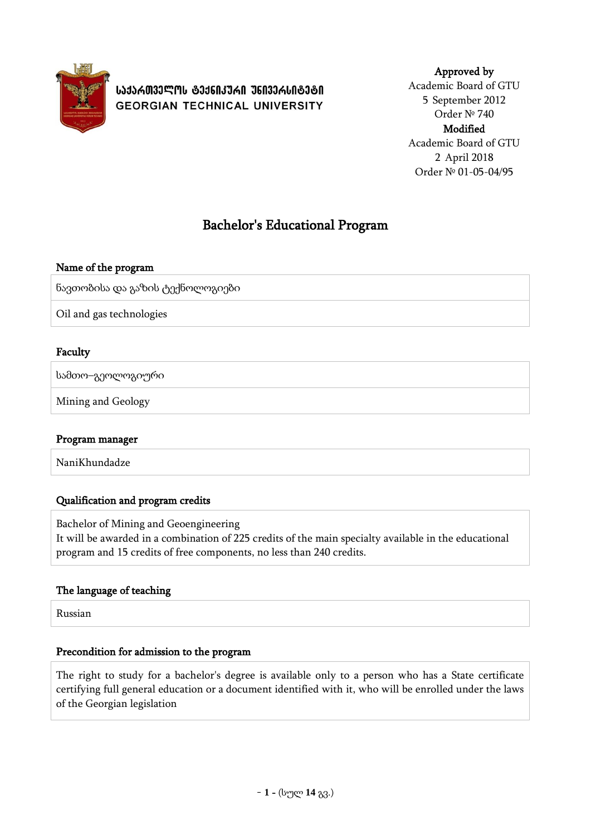

**ᲡᲐᲥᲐᲠᲗᲕᲔᲚᲝᲡ ᲢᲔᲥᲜᲘᲙᲣᲠᲘ ᲣᲜᲘᲕᲔᲠᲡᲘᲢᲔᲢᲘ GEORGIAN TECHNICAL UNIVERSITY** 

### Approved by

Academic Board of GTU 5 September 2012 Order № 740 Modified Academic Board of GTU 2 April 2018 Order № 01-05-04/95

# Bachelor's Educational Program

### Name of the program

ნავთობისა და გაზის ტექნოლოგიები

Oil and gas technologies

### Faculty

სამთო–გეოლოგიური

Mining and Geology

#### Program manager

NaniKhundadze

### Qualification and program credits

Bachelor of Mining and Geoengineering

It will be awarded in a combination of 225 credits of the main specialty available in the educational program and 15 credits of free components, no less than 240 credits.

### The language of teaching

Russian

#### Precondition for admission to the program

The right to study for a bachelor's degree is available only to a person who has a State certificate certifying full general education or a document identified with it, who will be enrolled under the laws of the Georgian legislation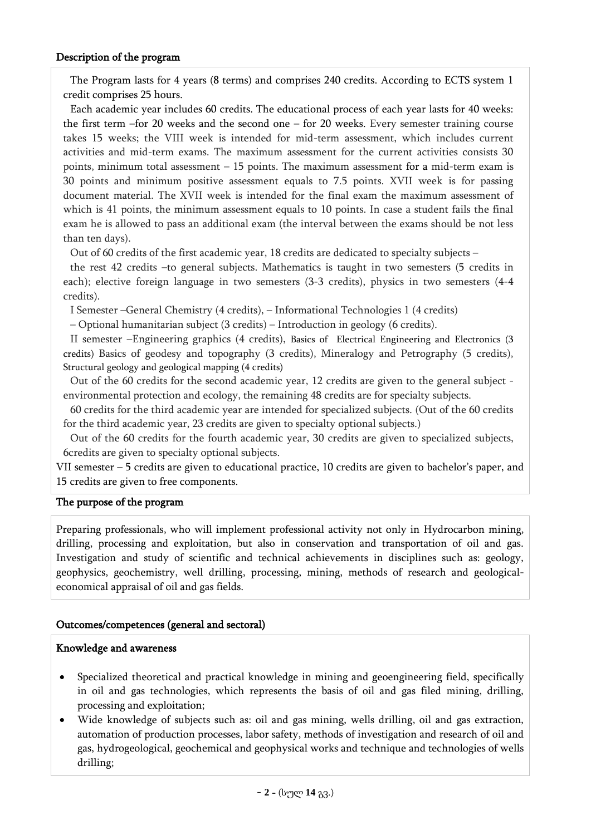#### Description of the program

The Program lasts for 4 years (8 terms) and comprises 240 credits. According to ECTS system 1 credit comprises 25 hours.

Each academic year includes 60 credits. The educational process of each year lasts for 40 weeks: the first term –for 20 weeks and the second one – for 20 weeks. Every semester training course takes 15 weeks; the VIII week is intended for mid-term assessment, which includes current activities and mid-term exams. The maximum assessment for the current activities consists 30 points, minimum total assessment – 15 points. The maximum assessment for a mid-term exam is 30 points and minimum positive assessment equals to 7.5 points. XVII week is for passing document material. The XVII week is intended for the final exam the maximum assessment of which is 41 points, the minimum assessment equals to 10 points. In case a student fails the final exam he is allowed to pass an additional exam (the interval between the exams should be not less than ten days).

Out of 60 credits of the first academic year, 18 credits are dedicated to specialty subjects –

the rest 42 credits –to general subjects. Mathematics is taught in two semesters (5 credits in each); elective foreign language in two semesters (3-3 credits), physics in two semesters (4-4 credits).

I Semester –General Chemistry (4 credits), – Informational Technologies 1 (4 credits)

– Optional humanitarian subject (3 credits) – Introduction in geology (6 credits).

II semester –Engineering graphics (4 credits), Basics of Electrical Engineering and Electronics (3 credits) Basics of geodesy and topography (3 credits), Mineralogy and Petrography (5 credits), Structural geology and geological mapping (4 credits)

Out of the 60 credits for the second academic year, 12 credits are given to the general subject environmental protection and ecology, the remaining 48 credits are for specialty subjects.

60 credits for the third academic year are intended for specialized subjects. (Out of the 60 credits for the third academic year, 23 credits are given to specialty optional subjects.)

Out of the 60 credits for the fourth academic year, 30 credits are given to specialized subjects, 6credits are given to specialty optional subjects.

VII semester – 5 credits are given to educational practice, 10 credits are given to bachelor's paper, and 15 credits are given to free components.

#### The purpose of the program

Preparing professionals, who will implement professional activity not only in Hydrocarbon mining, drilling, processing and exploitation, but also in conservation and transportation of oil and gas. Investigation and study of scientific and technical achievements in disciplines such as: geology, geophysics, geochemistry, well drilling, processing, mining, methods of research and geologicaleconomical appraisal of oil and gas fields.

#### Outcomes/competences (general and sectoral)

#### Knowledge and awareness

- Specialized theoretical and practical knowledge in mining and geoengineering field, specifically in oil and gas technologies, which represents the basis of oil and gas filed mining, drilling, processing and exploitation;
- Wide knowledge of subjects such as: oil and gas mining, wells drilling, oil and gas extraction, automation of production processes, labor safety, methods of investigation and research of oil and gas, hydrogeological, geochemical and geophysical works and technique and technologies of wells drilling;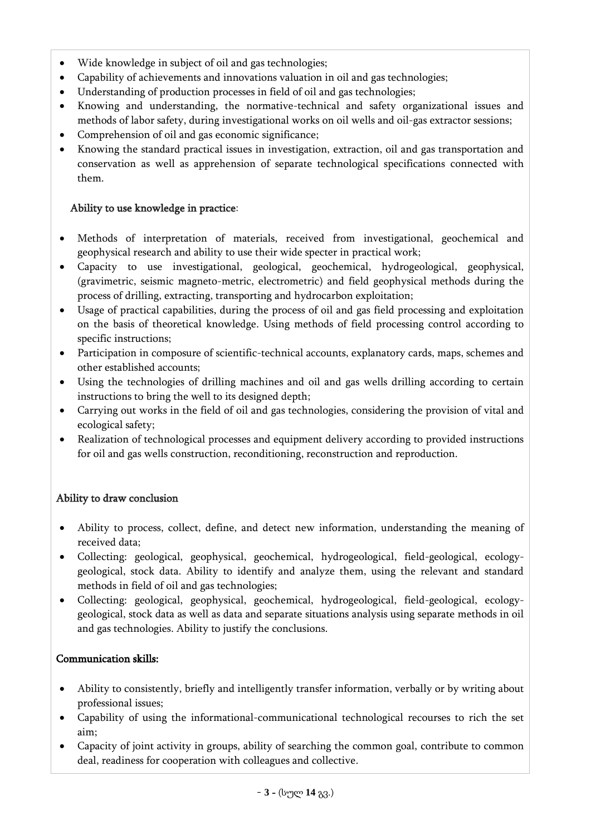- Wide knowledge in subject of oil and gas technologies;
- Capability of achievements and innovations valuation in oil and gas technologies;
- Understanding of production processes in field of oil and gas technologies;
- Knowing and understanding, the normative-technical and safety organizational issues and methods of labor safety, during investigational works on oil wells and oil-gas extractor sessions;
- Comprehension of oil and gas economic significance;
- Knowing the standard practical issues in investigation, extraction, oil and gas transportation and conservation as well as apprehension of separate technological specifications connected with them.

## Ability to use knowledge in practice:

- Methods of interpretation of materials, received from investigational, geochemical and geophysical research and ability to use their wide specter in practical work;
- Capacity to use investigational, geological, geochemical, hydrogeological, geophysical, (gravimetric, seismic magneto-metric, electrometric) and field geophysical methods during the process of drilling, extracting, transporting and hydrocarbon exploitation;
- Usage of practical capabilities, during the process of oil and gas field processing and exploitation on the basis of theoretical knowledge. Using methods of field processing control according to specific instructions;
- Participation in composure of scientific-technical accounts, explanatory cards, maps, schemes and other established accounts;
- Using the technologies of drilling machines and oil and gas wells drilling according to certain instructions to bring the well to its designed depth;
- Carrying out works in the field of oil and gas technologies, considering the provision of vital and ecological safety;
- Realization of technological processes and equipment delivery according to provided instructions for oil and gas wells construction, reconditioning, reconstruction and reproduction.

## Ability to draw conclusion

- Ability to process, collect, define, and detect new information, understanding the meaning of received data;
- Collecting: geological, geophysical, geochemical, hydrogeological, field-geological, ecologygeological, stock data. Ability to identify and analyze them, using the relevant and standard methods in field of oil and gas technologies;
- Collecting: geological, geophysical, geochemical, hydrogeological, field-geological, ecologygeological, stock data as well as data and separate situations analysis using separate methods in oil and gas technologies. Ability to justify the conclusions.

## Communication skills:

- Ability to consistently, briefly and intelligently transfer information, verbally or by writing about professional issues;
- Capability of using the informational-communicational technological recourses to rich the set aim;
- Capacity of joint activity in groups, ability of searching the common goal, contribute to common deal, readiness for cooperation with colleagues and collective.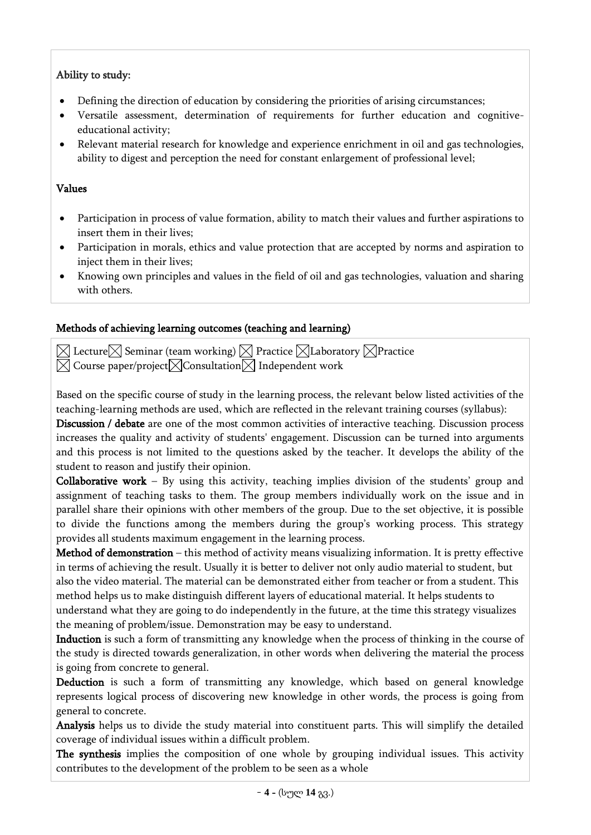# Ability to study:

- Defining the direction of education by considering the priorities of arising circumstances;
- Versatile assessment, determination of requirements for further education and cognitiveeducational activity;
- Relevant material research for knowledge and experience enrichment in oil and gas technologies, ability to digest and perception the need for constant enlargement of professional level;

## Values

- Participation in process of value formation, ability to match their values and further aspirations to insert them in their lives;
- Participation in morals, ethics and value protection that are accepted by norms and aspiration to inject them in their lives;
- Knowing own principles and values in the field of oil and gas technologies, valuation and sharing with others.

# Methods of achieving learning outcomes (teaching and learning)

 $\boxtimes$  Lecture $\boxtimes$  Seminar (team working)  $\boxtimes$  Practice  $\boxtimes$  Laboratory  $\boxtimes$  Practice  $\boxtimes$  Course paper/project $\boxtimes$  Consultation $\boxtimes$  Independent work

Based on the specific course of study in the learning process, the relevant below listed activities of the teaching-learning methods are used, which are reflected in the relevant training courses (syllabus):

Discussion / debate are one of the most common activities of interactive teaching. Discussion process increases the quality and activity of students' engagement. Discussion can be turned into arguments and this process is not limited to the questions asked by the teacher. It develops the ability of the student to reason and justify their opinion.

Collaborative work – By using this activity, teaching implies division of the students' group and assignment of teaching tasks to them. The group members individually work on the issue and in parallel share their opinions with other members of the group. Due to the set objective, it is possible to divide the functions among the members during the group's working process. This strategy provides all students maximum engagement in the learning process.

Method of demonstration – this method of activity means visualizing information. It is pretty effective in terms of achieving the result. Usually it is better to deliver not only audio material to student, but also the video material. The material can be demonstrated either from teacher or from a student. This method helps us to make distinguish different layers of educational material. It helps students to understand what they are going to do independently in the future, at the time this strategy visualizes the meaning of problem/issue. Demonstration may be easy to understand.

Induction is such a form of transmitting any knowledge when the process of thinking in the course of the study is directed towards generalization, in other words when delivering the material the process is going from concrete to general.

Deduction is such a form of transmitting any knowledge, which based on general knowledge represents logical process of discovering new knowledge in other words, the process is going from general to concrete.

Analysis helps us to divide the study material into constituent parts. This will simplify the detailed coverage of individual issues within a difficult problem.

The synthesis implies the composition of one whole by grouping individual issues. This activity contributes to the development of the problem to be seen as a whole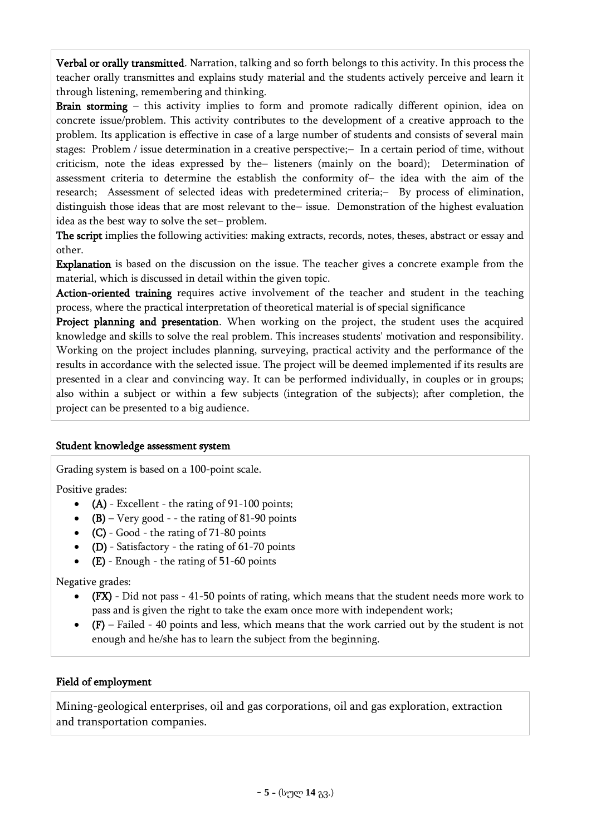Verbal or orally transmitted. Narration, talking and so forth belongs to this activity. In this process the teacher orally transmittes and explains study material and the students actively perceive and learn it through listening, remembering and thinking.

Brain storming – this activity implies to form and promote radically different opinion, idea on concrete issue/problem. This activity contributes to the development of a creative approach to the problem. Its application is effective in case of a large number of students and consists of several main stages: Problem / issue determination in a creative perspective; In a certain period of time, without criticism, note the ideas expressed by the listeners (mainly on the board); Determination of assessment criteria to determine the establish the conformity of- the idea with the aim of the research; Assessment of selected ideas with predetermined criteria;- By process of elimination, distinguish those ideas that are most relevant to the-issue. Demonstration of the highest evaluation idea as the best way to solve the set-problem.

The script implies the following activities: making extracts, records, notes, theses, abstract or essay and other.

Explanation is based on the discussion on the issue. The teacher gives a concrete example from the material, which is discussed in detail within the given topic.

Action-oriented training requires active involvement of the teacher and student in the teaching process, where the practical interpretation of theoretical material is of special significance

Project planning and presentation. When working on the project, the student uses the acquired knowledge and skills to solve the real problem. This increases students' motivation and responsibility. Working on the project includes planning, surveying, practical activity and the performance of the results in accordance with the selected issue. The project will be deemed implemented if its results are presented in a clear and convincing way. It can be performed individually, in couples or in groups; also within a subject or within a few subjects (integration of the subjects); after completion, the project can be presented to a big audience.

#### Student knowledge assessment system

Grading system is based on a 100-point scale.

Positive grades:

- $\bullet$  (A) Excellent the rating of 91-100 points;
- $(B)$  Very good - the rating of 81-90 points
- (C) Good the rating of 71-80 points
- $\bullet$  (D) Satisfactory the rating of 61-70 points
- $(E)$  Enough the rating of 51-60 points

Negative grades:

- (FX) Did not pass 41-50 points of rating, which means that the student needs more work to pass and is given the right to take the exam once more with independent work;
- (F) Failed 40 points and less, which means that the work carried out by the student is not enough and he/she has to learn the subject from the beginning.

#### Field of employment

Mining-geological enterprises, oil and gas corporations, oil and gas exploration, extraction and transportation companies.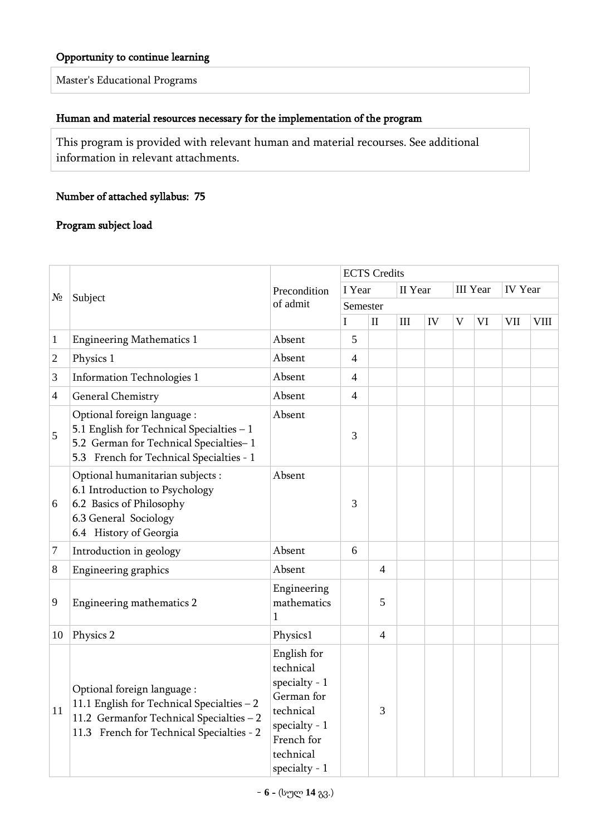#### Opportunity to continue learning

Master's Educational Programs

### Human and material resources necessary for the implementation of the program

This program is provided with relevant human and material recourses. See additional information in relevant attachments.

### Number of attached syllabus: 75

### Program subject load

|                |                                                                                                                                                                    |                                                                                                                                         | <b>ECTS</b> Credits |                |                             |    |   |                 |                |             |  |  |  |
|----------------|--------------------------------------------------------------------------------------------------------------------------------------------------------------------|-----------------------------------------------------------------------------------------------------------------------------------------|---------------------|----------------|-----------------------------|----|---|-----------------|----------------|-------------|--|--|--|
| $N_2$          | Subject                                                                                                                                                            | Precondition                                                                                                                            | I Year              |                | II Year                     |    |   | <b>III</b> Year | <b>IV</b> Year |             |  |  |  |
|                |                                                                                                                                                                    | of admit                                                                                                                                | Semester            |                |                             |    |   |                 |                |             |  |  |  |
|                |                                                                                                                                                                    |                                                                                                                                         | $\bf{I}$            | $\mathbf{I}$   | $\mathop{\rm III}\nolimits$ | IV | V | VI              | <b>VII</b>     | <b>VIII</b> |  |  |  |
| $\mathbf{1}$   | <b>Engineering Mathematics 1</b>                                                                                                                                   | Absent                                                                                                                                  | 5                   |                |                             |    |   |                 |                |             |  |  |  |
| $\overline{2}$ | Physics 1                                                                                                                                                          | Absent                                                                                                                                  | $\overline{4}$      |                |                             |    |   |                 |                |             |  |  |  |
| 3              | <b>Information Technologies 1</b>                                                                                                                                  | Absent                                                                                                                                  | 4                   |                |                             |    |   |                 |                |             |  |  |  |
| $\overline{4}$ | General Chemistry                                                                                                                                                  | Absent                                                                                                                                  | $\overline{4}$      |                |                             |    |   |                 |                |             |  |  |  |
| 5              | Optional foreign language :<br>5.1 English for Technical Specialties - 1<br>5.2 German for Technical Specialties-1<br>5.3 French for Technical Specialties - 1     | Absent                                                                                                                                  | 3                   |                |                             |    |   |                 |                |             |  |  |  |
| 6              | Optional humanitarian subjects :<br>6.1 Introduction to Psychology<br>6.2 Basics of Philosophy<br>6.3 General Sociology<br>6.4 History of Georgia                  | Absent                                                                                                                                  | 3                   |                |                             |    |   |                 |                |             |  |  |  |
| 7              | Introduction in geology                                                                                                                                            | Absent                                                                                                                                  | 6                   |                |                             |    |   |                 |                |             |  |  |  |
| 8              | Engineering graphics                                                                                                                                               | Absent                                                                                                                                  |                     | $\overline{4}$ |                             |    |   |                 |                |             |  |  |  |
| 9              | Engineering mathematics 2                                                                                                                                          | Engineering<br>mathematics<br>1                                                                                                         |                     | 5              |                             |    |   |                 |                |             |  |  |  |
| 10             | Physics 2                                                                                                                                                          | Physics1                                                                                                                                |                     | $\overline{4}$ |                             |    |   |                 |                |             |  |  |  |
| 11             | Optional foreign language :<br>11.1 English for Technical Specialties - 2<br>11.2 Germanfor Technical Specialties - 2<br>11.3 French for Technical Specialties - 2 | English for<br>technical<br>specialty - $1$<br>German for<br>technical<br>specialty - $1$<br>French for<br>technical<br>specialty - $1$ |                     | 3              |                             |    |   |                 |                |             |  |  |  |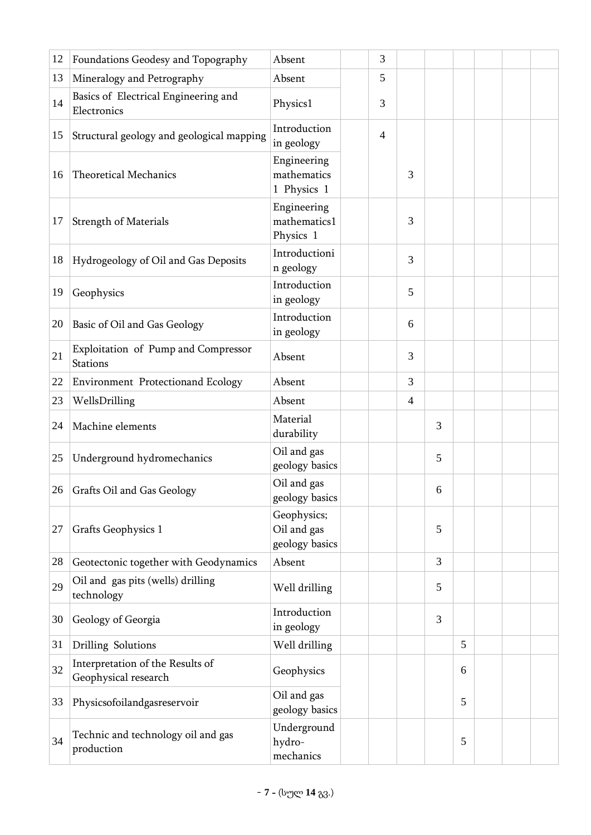| 12 | Foundations Geodesy and Topography                       | Absent                                       | 3 |                |   |   |  |  |
|----|----------------------------------------------------------|----------------------------------------------|---|----------------|---|---|--|--|
| 13 | Mineralogy and Petrography                               | Absent                                       | 5 |                |   |   |  |  |
| 14 | Basics of Electrical Engineering and<br>Electronics      | Physics1                                     | 3 |                |   |   |  |  |
| 15 | Structural geology and geological mapping                | Introduction<br>in geology                   | 4 |                |   |   |  |  |
| 16 | <b>Theoretical Mechanics</b>                             | Engineering<br>mathematics<br>1 Physics 1    |   | 3              |   |   |  |  |
| 17 | <b>Strength of Materials</b>                             | Engineering<br>mathematics1<br>Physics 1     |   | 3              |   |   |  |  |
| 18 | Hydrogeology of Oil and Gas Deposits                     | Introductioni<br>n geology                   |   | 3              |   |   |  |  |
| 19 | Geophysics                                               | Introduction<br>in geology                   |   | 5              |   |   |  |  |
| 20 | Basic of Oil and Gas Geology                             | Introduction<br>in geology                   |   | 6              |   |   |  |  |
| 21 | Exploitation of Pump and Compressor<br>Stations          | Absent                                       |   | 3              |   |   |  |  |
| 22 | <b>Environment Protectionand Ecology</b>                 | Absent                                       |   | 3              |   |   |  |  |
| 23 | WellsDrilling                                            | Absent                                       |   | $\overline{4}$ |   |   |  |  |
| 24 | Machine elements                                         | Material<br>durability                       |   |                | 3 |   |  |  |
| 25 | Underground hydromechanics                               | Oil and gas<br>geology basics                |   |                | 5 |   |  |  |
|    | 26 Grafts Oil and Gas Geology                            | Oil and gas<br>geology basics                |   |                | 6 |   |  |  |
| 27 | Grafts Geophysics 1                                      | Geophysics;<br>Oil and gas<br>geology basics |   |                | 5 |   |  |  |
| 28 | Geotectonic together with Geodynamics                    | Absent                                       |   |                | 3 |   |  |  |
| 29 | Oil and gas pits (wells) drilling<br>technology          | Well drilling                                |   |                | 5 |   |  |  |
| 30 | Geology of Georgia                                       | Introduction<br>in geology                   |   |                | 3 |   |  |  |
| 31 | Drilling Solutions                                       | Well drilling                                |   |                |   | 5 |  |  |
| 32 | Interpretation of the Results of<br>Geophysical research | Geophysics                                   |   |                |   | 6 |  |  |
| 33 | Physicsofoilandgasreservoir                              | Oil and gas<br>geology basics                |   |                |   | 5 |  |  |
| 34 | Technic and technology oil and gas<br>production         | Underground<br>hydro-<br>mechanics           |   |                |   | 5 |  |  |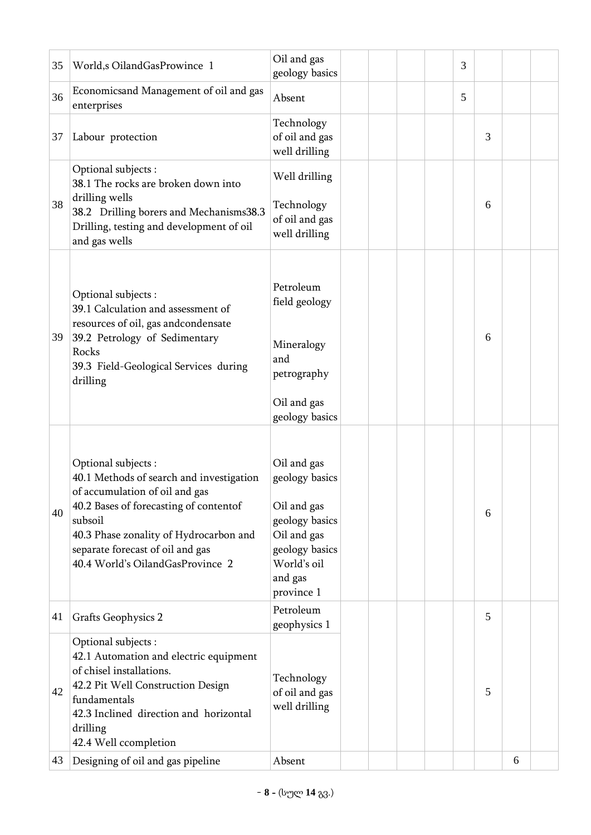| 35       | World,s OilandGasProwince 1                                                                                                                                                                                                                                              | Oil and gas<br>geology basics                                                                                                           |  |  | 3 |   |   |  |
|----------|--------------------------------------------------------------------------------------------------------------------------------------------------------------------------------------------------------------------------------------------------------------------------|-----------------------------------------------------------------------------------------------------------------------------------------|--|--|---|---|---|--|
| 36       | Economicsand Management of oil and gas<br>enterprises                                                                                                                                                                                                                    | Absent                                                                                                                                  |  |  | 5 |   |   |  |
| 37       | Labour protection                                                                                                                                                                                                                                                        | Technology<br>of oil and gas<br>well drilling                                                                                           |  |  |   | 3 |   |  |
| 38       | Optional subjects :<br>38.1 The rocks are broken down into<br>drilling wells<br>38.2 Drilling borers and Mechanisms38.3<br>Drilling, testing and development of oil<br>and gas wells                                                                                     | Well drilling<br>Technology<br>of oil and gas<br>well drilling                                                                          |  |  |   | 6 |   |  |
| 39       | Optional subjects :<br>39.1 Calculation and assessment of<br>resources of oil, gas andcondensate<br>39.2 Petrology of Sedimentary<br>Rocks<br>39.3 Field-Geological Services during<br>drilling                                                                          | Petroleum<br>field geology<br>Mineralogy<br>and<br>petrography<br>Oil and gas<br>geology basics                                         |  |  |   | 6 |   |  |
| 40       | Optional subjects :<br>40.1 Methods of search and investigation<br>of accumulation of oil and gas<br>40.2 Bases of forecasting of contentof<br>subsoil<br>40.3 Phase zonality of Hydrocarbon and<br>separate forecast of oil and gas<br>40.4 World's OilandGasProvince 2 | Oil and gas<br>geology basics<br>Oil and gas<br>geology basics<br>Oil and gas<br>geology basics<br>World's oil<br>and gas<br>province 1 |  |  |   | 6 |   |  |
| 41       | <b>Grafts Geophysics 2</b>                                                                                                                                                                                                                                               | Petroleum<br>geophysics 1                                                                                                               |  |  |   | 5 |   |  |
| 42<br>43 | Optional subjects :<br>42.1 Automation and electric equipment<br>of chisel installations.<br>42.2 Pit Well Construction Design<br>fundamentals<br>42.3 Inclined direction and horizontal<br>drilling<br>42.4 Well ccompletion<br>Designing of oil and gas pipeline       | Technology<br>of oil and gas<br>well drilling<br>Absent                                                                                 |  |  |   | 5 | 6 |  |
|          |                                                                                                                                                                                                                                                                          |                                                                                                                                         |  |  |   |   |   |  |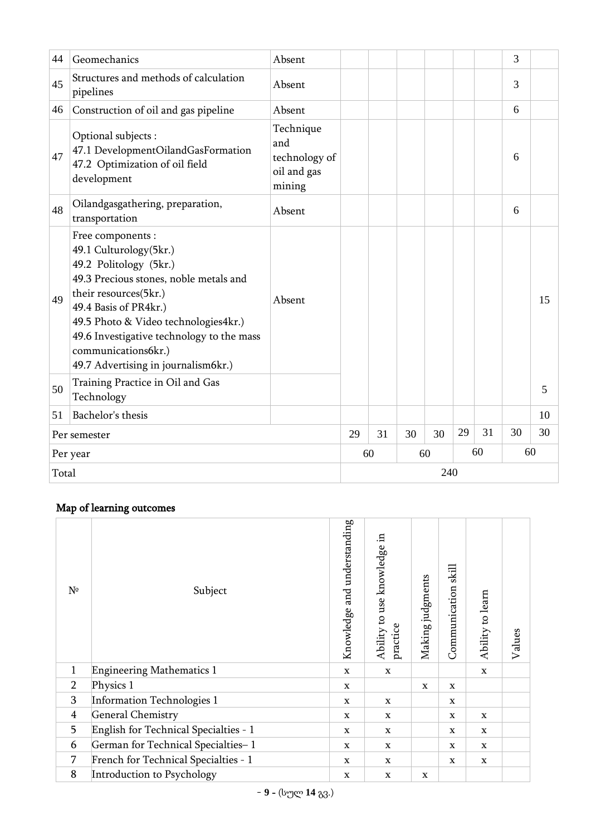| 44    | Geomechanics                                                                                                                                                                                                                                                                                                        | Absent                                                     |                                  |  |     |    | 3  |    |
|-------|---------------------------------------------------------------------------------------------------------------------------------------------------------------------------------------------------------------------------------------------------------------------------------------------------------------------|------------------------------------------------------------|----------------------------------|--|-----|----|----|----|
| 45    | Structures and methods of calculation<br>pipelines                                                                                                                                                                                                                                                                  | Absent                                                     |                                  |  |     |    | 3  |    |
| 46    | Construction of oil and gas pipeline                                                                                                                                                                                                                                                                                | Absent                                                     |                                  |  |     |    | 6  |    |
| 47    | Optional subjects :<br>47.1 DevelopmentOilandGasFormation<br>47.2 Optimization of oil field<br>development                                                                                                                                                                                                          | Technique<br>and<br>technology of<br>oil and gas<br>mining |                                  |  |     |    | 6  |    |
| 48    | Oilandgasgathering, preparation,<br>transportation                                                                                                                                                                                                                                                                  | Absent                                                     |                                  |  |     |    | 6  |    |
| 49    | Free components:<br>49.1 Culturology(5kr.)<br>49.2 Politology (5kr.)<br>49.3 Precious stones, noble metals and<br>their resources(5kr.)<br>49.4 Basis of PR4kr.)<br>49.5 Photo & Video technologies4kr.)<br>49.6 Investigative technology to the mass<br>communications6kr.)<br>49.7 Advertising in journalism6kr.) | Absent                                                     |                                  |  |     |    |    | 15 |
| 50    | Training Practice in Oil and Gas<br>Technology                                                                                                                                                                                                                                                                      |                                                            |                                  |  |     |    |    | 5  |
| 51    | Bachelor's thesis                                                                                                                                                                                                                                                                                                   |                                                            |                                  |  |     |    |    | 10 |
|       | Per semester                                                                                                                                                                                                                                                                                                        |                                                            | 29<br>31<br>31<br>30<br>30<br>29 |  | 30  | 30 |    |    |
|       | Per year                                                                                                                                                                                                                                                                                                            |                                                            | 60                               |  | 60  | 60 | 60 |    |
| Total |                                                                                                                                                                                                                                                                                                                     |                                                            |                                  |  | 240 |    |    |    |

# Map of learning outcomes

| $N^{\circ}$    | Subject                               | Knowledge and understanding | Ability to use knowledge in<br>practice | Making judgments | Communication skill | Ability to learn | Values |
|----------------|---------------------------------------|-----------------------------|-----------------------------------------|------------------|---------------------|------------------|--------|
| $\mathbf{1}$   | <b>Engineering Mathematics 1</b>      | $\mathbf x$                 | X                                       |                  |                     | $\mathbf x$      |        |
| $\overline{2}$ | Physics 1                             | $\mathbf X$                 |                                         | X                | $\mathbf X$         |                  |        |
| 3              | Information Technologies 1            | $\mathbf x$                 | $\mathbf X$                             |                  | $\mathbf X$         |                  |        |
| $\overline{4}$ | <b>General Chemistry</b>              | $\mathbf X$                 | X                                       |                  | $\mathbf X$         | $\mathbf X$      |        |
| 5              | English for Technical Specialties - 1 | $\mathbf x$                 | $\mathbf X$                             |                  | $\mathbf X$         | $\mathbf x$      |        |
| 6              | German for Technical Specialties-1    | $\mathbf x$                 | $\mathbf X$                             |                  | $\mathbf X$         | $\mathbf x$      |        |
| 7              | French for Technical Specialties - 1  | $\mathbf x$                 | X                                       |                  | X                   | $\mathbf x$      |        |
| 8              | Introduction to Psychology            | $\mathbf X$                 | $\mathbf X$                             | X                |                     |                  |        |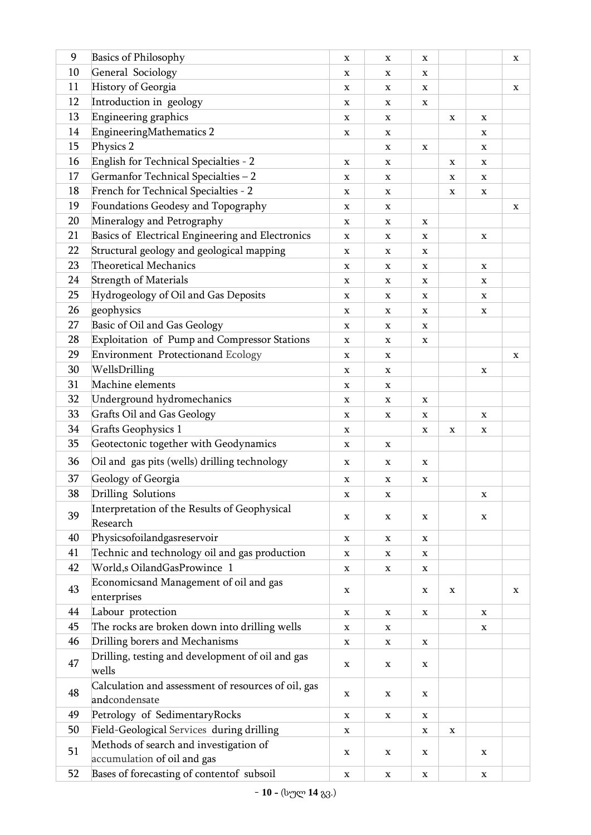| 9  | <b>Basics of Philosophy</b>                                          | X           | X           | X           |             |             | $\mathbf X$ |
|----|----------------------------------------------------------------------|-------------|-------------|-------------|-------------|-------------|-------------|
| 10 | General Sociology                                                    | X           | X           | X           |             |             |             |
| 11 | History of Georgia                                                   | $\mathbf X$ | $\mathbf X$ | X           |             |             | X           |
| 12 | Introduction in geology                                              | X           | X           | $\mathbf X$ |             |             |             |
| 13 | Engineering graphics                                                 | X           | X           |             | X           | X           |             |
| 14 | EngineeringMathematics 2                                             | X           | X           |             |             | $\mathbf X$ |             |
| 15 | Physics 2                                                            |             | X           | X           |             | X           |             |
| 16 | English for Technical Specialties - 2                                | $\mathbf X$ | X           |             | $\mathbf X$ | $\mathbf X$ |             |
| 17 | Germanfor Technical Specialties - 2                                  | X           | X           |             | X           | X           |             |
| 18 | French for Technical Specialties - 2                                 | X           | X           |             | X           | X           |             |
| 19 | Foundations Geodesy and Topography                                   | X           | $\mathbf X$ |             |             |             | X           |
| 20 | Mineralogy and Petrography                                           | X           | X           | $\mathbf X$ |             |             |             |
| 21 | Basics of Electrical Engineering and Electronics                     | X           | X           | X           |             | $\mathbf X$ |             |
| 22 | Structural geology and geological mapping                            | X           | X           | $\mathbf X$ |             |             |             |
| 23 | <b>Theoretical Mechanics</b>                                         | X           | X           | X           |             | X           |             |
| 24 | <b>Strength of Materials</b>                                         | X           | X           | $\mathbf X$ |             | X           |             |
| 25 | Hydrogeology of Oil and Gas Deposits                                 | X           | X           | X           |             | X           |             |
| 26 | geophysics                                                           | X           | X           | X           |             | X           |             |
| 27 | Basic of Oil and Gas Geology                                         | $\mathbf X$ | X           | X           |             |             |             |
| 28 | Exploitation of Pump and Compressor Stations                         | X           | X           | X           |             |             |             |
| 29 | Environment Protectionand Ecology                                    | X           | X           |             |             |             | X           |
| 30 | WellsDrilling                                                        | X           | X           |             |             | $\mathbf X$ |             |
| 31 | Machine elements                                                     | X           | X           |             |             |             |             |
| 32 | Underground hydromechanics                                           | $\mathbf X$ | X           | $\mathbf X$ |             |             |             |
| 33 | Grafts Oil and Gas Geology                                           | X           | $\mathbf X$ | X           |             | X           |             |
| 34 | <b>Grafts Geophysics 1</b>                                           | X           |             | X           | X           | X           |             |
| 35 | Geotectonic together with Geodynamics                                | X           | X           |             |             |             |             |
| 36 | Oil and gas pits (wells) drilling technology                         | X           | $\mathbf X$ | X           |             |             |             |
| 37 | Geology of Georgia                                                   | X           | х           | X           |             |             |             |
| 38 | Drilling Solutions                                                   | X           | X           |             |             | X           |             |
| 39 | Interpretation of the Results of Geophysical<br>Research             | $\mathbf X$ | X           | $\mathbf X$ |             | X           |             |
| 40 | Physicsofoilandgasreservoir                                          | X           | X           | x           |             |             |             |
| 41 | Technic and technology oil and gas production                        | X           | X           | X           |             |             |             |
| 42 | World,s OilandGasProwince 1                                          | X           | X           | X           |             |             |             |
| 43 | Economicsand Management of oil and gas<br>enterprises                | $\mathbf X$ |             | $\mathbf X$ | $\mathbf X$ |             | X           |
| 44 | Labour protection                                                    | $\mathbf X$ | X           | X           |             | $\mathbf X$ |             |
| 45 | The rocks are broken down into drilling wells                        | X           | X           |             |             | X           |             |
| 46 | Drilling borers and Mechanisms                                       | X           | $\mathbf X$ | $\mathbf X$ |             |             |             |
| 47 | Drilling, testing and development of oil and gas                     | X           | $\mathbf X$ | X           |             |             |             |
|    | wells                                                                |             |             |             |             |             |             |
| 48 | Calculation and assessment of resources of oil, gas<br>andcondensate | X           | X           | X           |             |             |             |
| 49 | Petrology of SedimentaryRocks                                        | X           | X           | X           |             |             |             |
| 50 | Field-Geological Services during drilling                            | X           |             | X           | X           |             |             |
| 51 | Methods of search and investigation of                               | X           | X           | X           |             | X           |             |
|    | accumulation of oil and gas                                          |             |             |             |             |             |             |
| 52 | Bases of forecasting of contentof subsoil                            | $\mathbf X$ | X           | X           |             | $\mathbf X$ |             |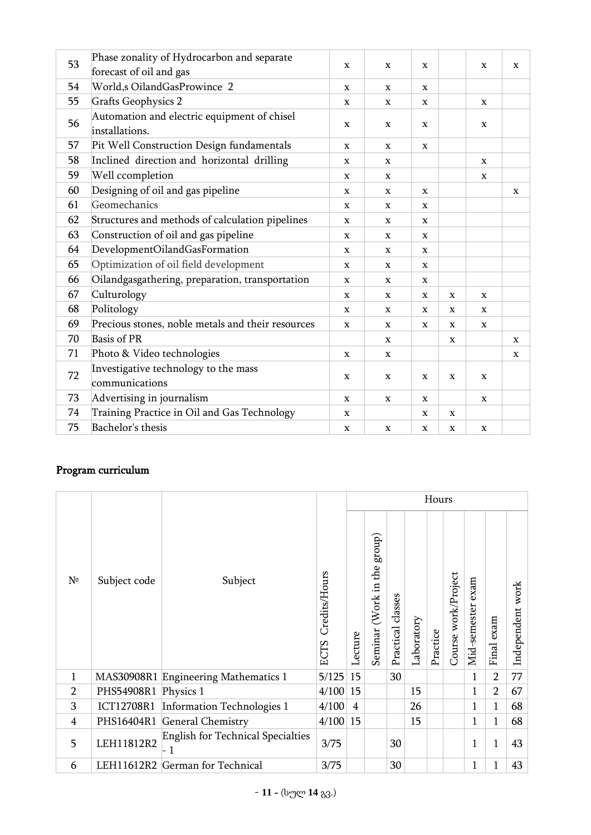| 53 | Phase zonality of Hydrocarbon and separate                    |              |             |             |             |             |              |
|----|---------------------------------------------------------------|--------------|-------------|-------------|-------------|-------------|--------------|
|    | forecast of oil and gas                                       | $\mathbf x$  | $\mathbf X$ | X           |             | $\mathbf X$ | $\mathbf{x}$ |
| 54 | World,s OilandGasProwince 2                                   | $\mathbf X$  | $\mathbf X$ | $\mathbf X$ |             |             |              |
| 55 | <b>Grafts Geophysics 2</b>                                    | X            | $\mathbf X$ | X           |             | $\mathbf x$ |              |
| 56 | Automation and electric equipment of chisel<br>installations. | $\mathbf x$  | $\mathbf X$ | X           |             | $\mathbf x$ |              |
| 57 | Pit Well Construction Design fundamentals                     | X            | $\mathbf x$ | X           |             |             |              |
| 58 | Inclined direction and horizontal drilling                    | $\mathbf X$  | $\mathbf X$ |             |             | $\mathbf x$ |              |
| 59 | Well ccompletion                                              | $\mathbf X$  | $\mathbf x$ |             |             | $\mathbf X$ |              |
| 60 | Designing of oil and gas pipeline                             | $\mathbf X$  | $\mathbf X$ | $\mathbf X$ |             |             | $\mathbf X$  |
| 61 | Geomechanics                                                  | X            | x           | X           |             |             |              |
| 62 | Structures and methods of calculation pipelines               | $\mathbf x$  | x           | X           |             |             |              |
| 63 | Construction of oil and gas pipeline                          | X            | x           | X           |             |             |              |
| 64 | DevelopmentOilandGasFormation                                 | $\mathbf x$  | X           | X           |             |             |              |
| 65 | Optimization of oil field development                         | $\mathbf x$  | X           | X           |             |             |              |
| 66 | Oilandgasgathering, preparation, transportation               | $\mathbf x$  | $\mathbf x$ | X           |             |             |              |
| 67 | Culturology                                                   | $\mathbf x$  | $\mathbf x$ | $\mathbf x$ | $\mathbf x$ | $\mathbf x$ |              |
| 68 | Politology                                                    | X            | X           | X           | X           | X           |              |
| 69 | Precious stones, noble metals and their resources             | $\mathbf{x}$ | $\mathbf x$ | X           | X           | $\mathbf X$ |              |
| 70 | <b>Basis of PR</b>                                            |              | x           |             | X           |             | X            |
| 71 | Photo & Video technologies                                    | $\mathbf X$  | $\mathbf X$ |             |             |             | $\mathbf x$  |
| 72 | Investigative technology to the mass<br>communications        | $\mathbf x$  | $\mathbf X$ | $\mathbf x$ | $\mathbf X$ | $\mathbf x$ |              |
| 73 | Advertising in journalism                                     | $\mathbf X$  | $\mathbf X$ | $\mathbf x$ |             | $\mathbf X$ |              |
| 74 | Training Practice in Oil and Gas Technology                   | X            |             | X           | X           |             |              |
| 75 | Bachelor's thesis                                             | $\mathbf X$  | $\mathbf X$ | x           | $\mathbf X$ | $\mathbf X$ |              |

# Program curriculum

|                |              |                                          |                              | Hours          |                                      |                   |            |          |                        |                   |                |                  |
|----------------|--------------|------------------------------------------|------------------------------|----------------|--------------------------------------|-------------------|------------|----------|------------------------|-------------------|----------------|------------------|
| N <sup>o</sup> | Subject code | Subject                                  | Credits/Hours<br><b>ECTS</b> | Lecture        | group)<br>the<br>(Work in<br>Seminar | Practical classes | Laboratory | Practice | work/Project<br>Course | Mid-semester exam | exam<br>Final  | Independent work |
| 1              |              | MAS30908R1 Engineering Mathematics 1     | 5/125                        | 15             |                                      | 30                |            |          |                        | $\mathbf{1}$      | $\overline{2}$ | 77               |
| 2              | PHS54908R1   | Physics 1                                | 4/100                        | 15             |                                      |                   | 15         |          |                        | $\mathbf{1}$      | $\overline{2}$ | 67               |
| 3              | ICT12708R1   | Information Technologies 1               | 4/100                        | $\overline{4}$ |                                      |                   | 26         |          |                        | $\mathbf{1}$      | 1              | 68               |
| $\overline{4}$ | PHS16404R1   | General Chemistry                        | 4/100                        | 15             |                                      |                   | 15         |          |                        | $\mathbf{1}$      | 1              | 68               |
| 5              | LEH11812R2   | <b>English for Technical Specialties</b> | 3/75                         |                |                                      | 30                |            |          |                        | $\mathbf{1}$      | $\mathbf{1}$   | 43               |
| 6              | LEH11612R2   | German for Technical                     | 3/75                         |                |                                      | 30                |            |          |                        | 1                 | $\mathbf{1}$   | 43               |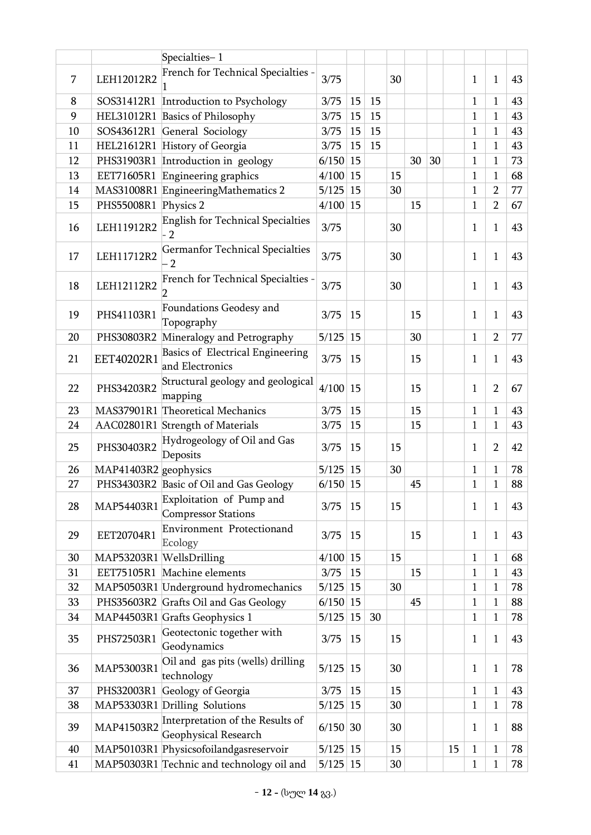|    |                          | Specialties-1                                            |              |    |    |    |    |    |    |              |                |    |
|----|--------------------------|----------------------------------------------------------|--------------|----|----|----|----|----|----|--------------|----------------|----|
|    |                          | French for Technical Specialties -                       |              |    |    |    |    |    |    |              |                |    |
| 7  | LEH12012R2               |                                                          | 3/75         |    |    | 30 |    |    |    | $\mathbf{1}$ | $\mathbf{1}$   | 43 |
| 8  | SOS31412R1               | Introduction to Psychology                               | 3/75         | 15 | 15 |    |    |    |    | $\mathbf{1}$ | 1              | 43 |
| 9  | HEL31012R1               | <b>Basics of Philosophy</b>                              | 3/75         | 15 | 15 |    |    |    |    | $\mathbf{1}$ | 1              | 43 |
| 10 | SOS43612R1               | General Sociology                                        | 3/75         | 15 | 15 |    |    |    |    | $\mathbf{1}$ | $\mathbf{1}$   | 43 |
| 11 | HEL21612R1               | History of Georgia                                       | 3/75         | 15 | 15 |    |    |    |    | $\mathbf{1}$ | 1              | 43 |
| 12 | PHS31903R1               | Introduction in geology                                  | 6/150        | 15 |    |    | 30 | 30 |    | $\mathbf{1}$ | $\mathbf{1}$   | 73 |
| 13 | EET71605R1               | Engineering graphics                                     | 4/100        | 15 |    | 15 |    |    |    | $\mathbf{1}$ | 1              | 68 |
| 14 |                          | MAS31008R1 EngineeringMathematics 2                      | 5/125        | 15 |    | 30 |    |    |    | $\mathbf{1}$ | $\overline{2}$ | 77 |
| 15 | PHS55008R1               | Physics 2                                                | 4/100        | 15 |    |    | 15 |    |    | $\mathbf{1}$ | $\overline{2}$ | 67 |
| 16 | LEH11912R2               | English for Technical Specialties<br>$\overline{2}$      | 3/75         |    |    | 30 |    |    |    | $\mathbf{1}$ | $\mathbf{1}$   | 43 |
| 17 | LEH11712R2               | <b>Germanfor Technical Specialties</b><br>$\overline{2}$ | 3/75         |    |    | 30 |    |    |    | $\mathbf{1}$ | $\mathbf{1}$   | 43 |
| 18 | LEH12112R2               | French for Technical Specialties -                       | 3/75         |    |    | 30 |    |    |    | $\mathbf{1}$ | $\mathbf{1}$   | 43 |
| 19 | PHS41103R1               | Foundations Geodesy and<br>Topography                    | 3/75         | 15 |    |    | 15 |    |    | 1            | 1              | 43 |
| 20 | PHS30803R2               | Mineralogy and Petrography                               | 5/125        | 15 |    |    | 30 |    |    | $\mathbf{1}$ | $\overline{2}$ | 77 |
| 21 | EET40202R1               | Basics of Electrical Engineering<br>and Electronics      | 3/75         | 15 |    |    | 15 |    |    | $\mathbf{1}$ | $\mathbf{1}$   | 43 |
| 22 | PHS34203R2               | Structural geology and geological<br>mapping             | 4/100        | 15 |    |    | 15 |    |    | $\mathbf{1}$ | $\overline{2}$ | 67 |
| 23 |                          | MAS37901R1 Theoretical Mechanics                         | 3/75         | 15 |    |    | 15 |    |    | $\mathbf{1}$ | $\mathbf{1}$   | 43 |
| 24 |                          | AAC02801R1 Strength of Materials                         | 3/75         | 15 |    |    | 15 |    |    | $\mathbf{1}$ | 1              | 43 |
| 25 | PHS30403R2               | Hydrogeology of Oil and Gas<br>Deposits                  | 3/75         | 15 |    | 15 |    |    |    | 1            | $\overline{2}$ | 42 |
| 26 | MAP41403R2 geophysics    |                                                          | 5/125        | 15 |    | 30 |    |    |    | $\mathbf{1}$ | 1              | 78 |
| 27 |                          | PHS34303R2 Basic of Oil and Gas Geology                  | $6/150$   15 |    |    |    | 45 |    |    | $\mathbf{1}$ | 1              | 88 |
| 28 | MAP54403R1               | Exploitation of Pump and<br><b>Compressor Stations</b>   | 3/75         | 15 |    | 15 |    |    |    | $\mathbf{1}$ | $\mathbf{1}$   | 43 |
| 29 | EET20704R1               | Environment Protectionand<br>Ecology                     | 3/75         | 15 |    |    | 15 |    |    | $\mathbf{1}$ | 1              | 43 |
| 30 | MAP53203R1 WellsDrilling |                                                          | 4/100        | 15 |    | 15 |    |    |    | $\mathbf{1}$ | $\mathbf{1}$   | 68 |
| 31 | EET75105R1               | Machine elements                                         | 3/75         | 15 |    |    | 15 |    |    | $\mathbf{1}$ | 1              | 43 |
| 32 |                          | MAP50503R1 Underground hydromechanics                    | 5/125        | 15 |    | 30 |    |    |    | $\mathbf{1}$ | 1              | 78 |
| 33 | PHS35603R2               | Grafts Oil and Gas Geology                               | 6/150        | 15 |    |    | 45 |    |    | $\mathbf{1}$ | 1              | 88 |
| 34 |                          | MAP44503R1 Grafts Geophysics 1                           | 5/125        | 15 | 30 |    |    |    |    | $\mathbf{1}$ | 1              | 78 |
| 35 | PHS72503R1               | Geotectonic together with<br>Geodynamics                 | 3/75         | 15 |    | 15 |    |    |    | $\mathbf{1}$ | $\mathbf{1}$   | 43 |
| 36 | MAP53003R1               | Oil and gas pits (wells) drilling<br>technology          | 5/125        | 15 |    | 30 |    |    |    | $\mathbf{1}$ | $\mathbf{1}$   | 78 |
| 37 | PHS32003R1               | Geology of Georgia                                       | 3/75         | 15 |    | 15 |    |    |    | $\mathbf{1}$ | 1              | 43 |
| 38 |                          | MAP53303R1 Drilling Solutions                            | 5/125        | 15 |    | 30 |    |    |    | $\mathbf{1}$ | 1              | 78 |
| 39 | MAP41503R2               | Interpretation of the Results of<br>Geophysical Research | 6/150        | 30 |    | 30 |    |    |    | $\mathbf{1}$ | 1              | 88 |
| 40 |                          | MAP50103R1 Physicsofoilandgasreservoir                   | 5/125        | 15 |    | 15 |    |    | 15 | $\mathbf{1}$ | 1              | 78 |
| 41 |                          | MAP50303R1 Technic and technology oil and                | 5/125        | 15 |    | 30 |    |    |    | $\mathbf{1}$ | 1              | 78 |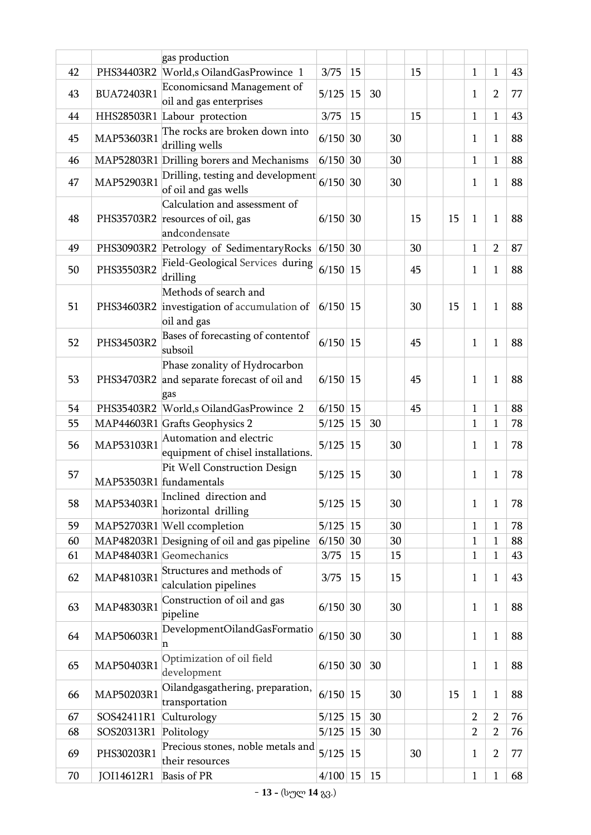|    |                         | gas production                                                                      |              |               |    |    |    |    |                |                |    |
|----|-------------------------|-------------------------------------------------------------------------------------|--------------|---------------|----|----|----|----|----------------|----------------|----|
| 42 |                         | PHS34403R2 World,s OilandGasProwince 1                                              | 3/75         | 15            |    |    | 15 |    | $\mathbf{1}$   | 1              | 43 |
| 43 | BUA72403R1              | Economicsand Management of<br>oil and gas enterprises                               | 5/125        | 15            | 30 |    |    |    | 1              | $\overline{2}$ | 77 |
| 44 |                         | HHS28503R1 Labour protection                                                        | 3/75         | 15            |    |    | 15 |    | $\mathbf{1}$   | 1              | 43 |
| 45 | MAP53603R1              | The rocks are broken down into<br>drilling wells                                    | 6/150        | 30            |    | 30 |    |    | $\mathbf{1}$   | 1              | 88 |
| 46 |                         | MAP52803R1 Drilling borers and Mechanisms                                           | 6/150        | 30            |    | 30 |    |    | 1              | 1              | 88 |
| 47 | MAP52903R1              | Drilling, testing and development<br>of oil and gas wells                           | 6/150        | 30            |    | 30 |    |    | $\mathbf{1}$   | 1              | 88 |
| 48 |                         | Calculation and assessment of<br>PHS35703R2 resources of oil, gas<br>andcondensate  | 6/150        | 30            |    |    | 15 | 15 | $\mathbf{1}$   | 1              | 88 |
| 49 |                         | PHS30903R2 Petrology of SedimentaryRocks                                            | $6/150$ 30   |               |    |    | 30 |    | $\mathbf{1}$   | $\overline{2}$ | 87 |
| 50 | PHS35503R2              | Field-Geological Services during<br>drilling                                        | 6/150        | 15            |    |    | 45 |    | 1              | 1              | 88 |
| 51 |                         | Methods of search and<br>PHS34603R2 investigation of accumulation of<br>oil and gas | $6/150$   15 |               |    |    | 30 | 15 | $\mathbf{1}$   | 1              | 88 |
| 52 | PHS34503R2              | Bases of forecasting of contentof<br>subsoil                                        | 6/150        | <sup>15</sup> |    |    | 45 |    | $\mathbf{1}$   | 1              | 88 |
| 53 | PHS34703R2              | Phase zonality of Hydrocarbon<br>and separate forecast of oil and<br>gas            | $6/150$   15 |               |    |    | 45 |    | $\mathbf{1}$   | 1              | 88 |
| 54 |                         | PHS35403R2 World,s OilandGasProwince 2                                              | 6/150        | <sup>15</sup> |    |    | 45 |    | $\mathbf{1}$   | 1              | 88 |
| 55 |                         | MAP44603R1 Grafts Geophysics 2                                                      | 5/125        | 15            | 30 |    |    |    | $\mathbf{1}$   | 1              | 78 |
| 56 | MAP53103R1              | Automation and electric<br>equipment of chisel installations.                       | 5/125        | 15            |    | 30 |    |    | 1              | 1              | 78 |
| 57 | MAP53503R1 fundamentals | Pit Well Construction Design                                                        | 5/125        | 15            |    | 30 |    |    | $\mathbf{1}$   | 1              | 78 |
| 58 | MAP53403R1              | Inclined direction and<br>horizontal drilling                                       | 5/125        | 15            |    | 30 |    |    | $\mathbf{1}$   | 1              | 78 |
| 59 |                         | MAP52703R1 Well ccompletion                                                         | 5/125        | 15            |    | 30 |    |    | $\mathbf{1}$   | 1              | 78 |
| 60 |                         | MAP48203R1 Designing of oil and gas pipeline                                        | 6/150        | 30            |    | 30 |    |    | $\mathbf{1}$   | $\mathbf{1}$   | 88 |
| 61 |                         | MAP48403R1 Geomechanics                                                             | 3/75         | 15            |    | 15 |    |    | $\mathbf{1}$   | 1              | 43 |
| 62 | MAP48103R1              | Structures and methods of<br>calculation pipelines                                  | 3/75         | 15            |    | 15 |    |    | $\mathbf{1}$   | $\mathbf{1}$   | 43 |
| 63 | MAP48303R1              | Construction of oil and gas<br>pipeline                                             | 6/150        | 30            |    | 30 |    |    | $\mathbf{1}$   | $\mathbf{1}$   | 88 |
| 64 | MAP50603R1              | DevelopmentOilandGasFormatio<br>n                                                   | $6/150$ 30   |               |    | 30 |    |    | $\mathbf{1}$   | $\mathbf{1}$   | 88 |
| 65 | MAP50403R1              | Optimization of oil field<br>development                                            | 6/150        | 30            | 30 |    |    |    | $\mathbf{1}$   | $\mathbf{1}$   | 88 |
| 66 | MAP50203R1              | Oilandgasgathering, preparation,<br>transportation                                  | $6/150$ 15   |               |    | 30 |    | 15 | $\mathbf{1}$   | 1              | 88 |
| 67 | SOS42411R1              | Culturology                                                                         | 5/125        | 15            | 30 |    |    |    | $\overline{2}$ | $\overline{2}$ | 76 |
| 68 | SOS20313R1              | Politology                                                                          | 5/125        | 15            | 30 |    |    |    | $\overline{2}$ | $\overline{2}$ | 76 |
| 69 | PHS30203R1              | Precious stones, noble metals and<br>their resources                                | 5/125        | 15            |    |    | 30 |    | $\mathbf{1}$   | $\overline{2}$ | 77 |
| 70 | JOI14612R1              | <b>Basis of PR</b>                                                                  | $4/100$ 15   |               | 15 |    |    |    | $\mathbf{1}$   | 1              | 68 |